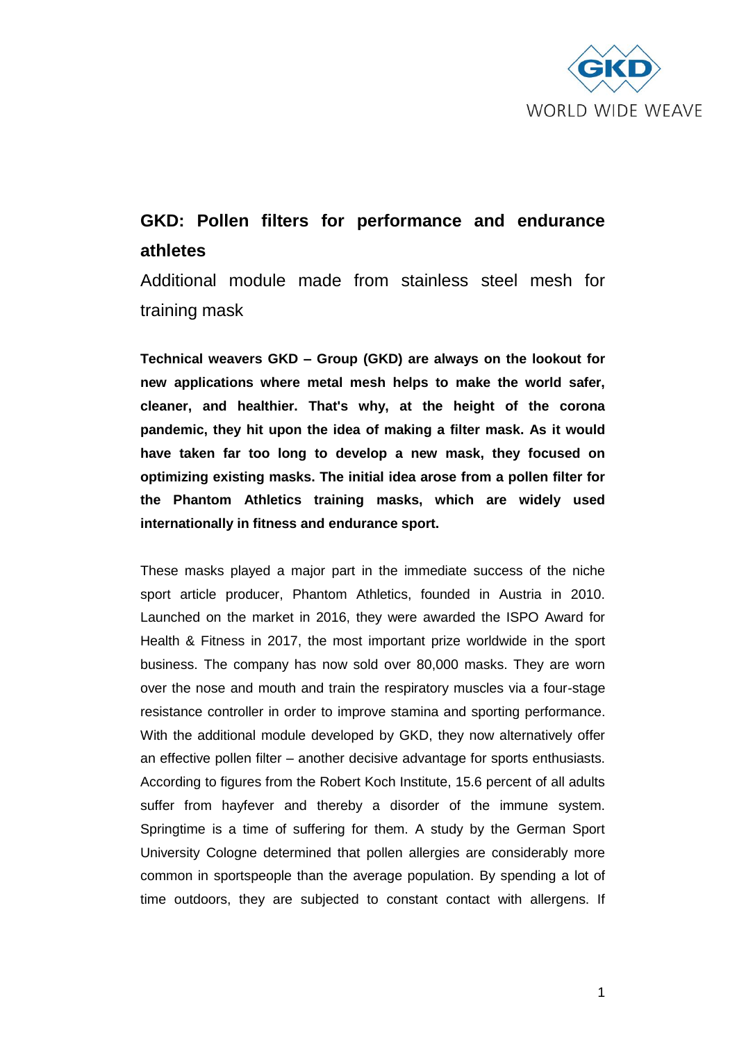

## **GKD: Pollen filters for performance and endurance athletes**

Additional module made from stainless steel mesh for training mask

**Technical weavers GKD – Group (GKD) are always on the lookout for new applications where metal mesh helps to make the world safer, cleaner, and healthier. That's why, at the height of the corona pandemic, they hit upon the idea of making a filter mask. As it would have taken far too long to develop a new mask, they focused on optimizing existing masks. The initial idea arose from a pollen filter for the Phantom Athletics training masks, which are widely used internationally in fitness and endurance sport.**

These masks played a major part in the immediate success of the niche sport article producer, Phantom Athletics, founded in Austria in 2010. Launched on the market in 2016, they were awarded the ISPO Award for Health & Fitness in 2017, the most important prize worldwide in the sport business. The company has now sold over 80,000 masks. They are worn over the nose and mouth and train the respiratory muscles via a four-stage resistance controller in order to improve stamina and sporting performance. With the additional module developed by GKD, they now alternatively offer an effective pollen filter – another decisive advantage for sports enthusiasts. According to figures from the Robert Koch Institute, 15.6 percent of all adults suffer from hayfever and thereby a disorder of the immune system. Springtime is a time of suffering for them. A study by the German Sport University Cologne determined that pollen allergies are considerably more common in sportspeople than the average population. By spending a lot of time outdoors, they are subjected to constant contact with allergens. If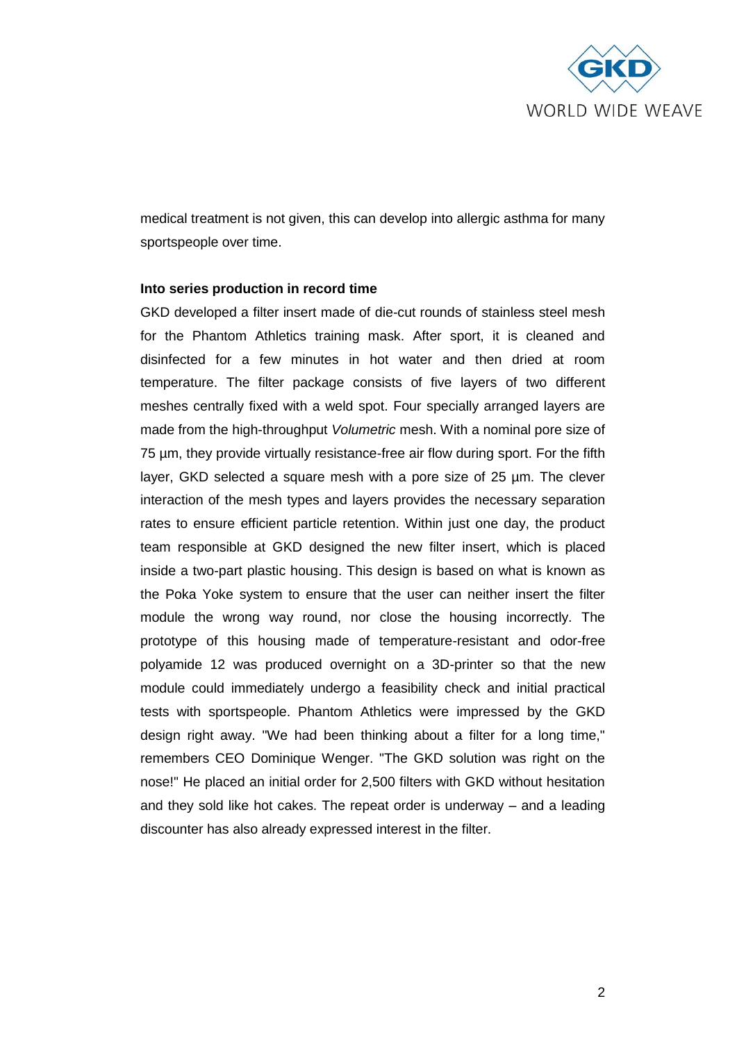

medical treatment is not given, this can develop into allergic asthma for many sportspeople over time.

## **Into series production in record time**

GKD developed a filter insert made of die-cut rounds of stainless steel mesh for the Phantom Athletics training mask. After sport, it is cleaned and disinfected for a few minutes in hot water and then dried at room temperature. The filter package consists of five layers of two different meshes centrally fixed with a weld spot. Four specially arranged layers are made from the high-throughput *Volumetric* mesh. With a nominal pore size of 75 µm, they provide virtually resistance-free air flow during sport. For the fifth layer, GKD selected a square mesh with a pore size of 25 µm. The clever interaction of the mesh types and layers provides the necessary separation rates to ensure efficient particle retention. Within just one day, the product team responsible at GKD designed the new filter insert, which is placed inside a two-part plastic housing. This design is based on what is known as the Poka Yoke system to ensure that the user can neither insert the filter module the wrong way round, nor close the housing incorrectly. The prototype of this housing made of temperature-resistant and odor-free polyamide 12 was produced overnight on a 3D-printer so that the new module could immediately undergo a feasibility check and initial practical tests with sportspeople. Phantom Athletics were impressed by the GKD design right away. "We had been thinking about a filter for a long time," remembers CEO Dominique Wenger. "The GKD solution was right on the nose!" He placed an initial order for 2,500 filters with GKD without hesitation and they sold like hot cakes. The repeat order is underway – and a leading discounter has also already expressed interest in the filter.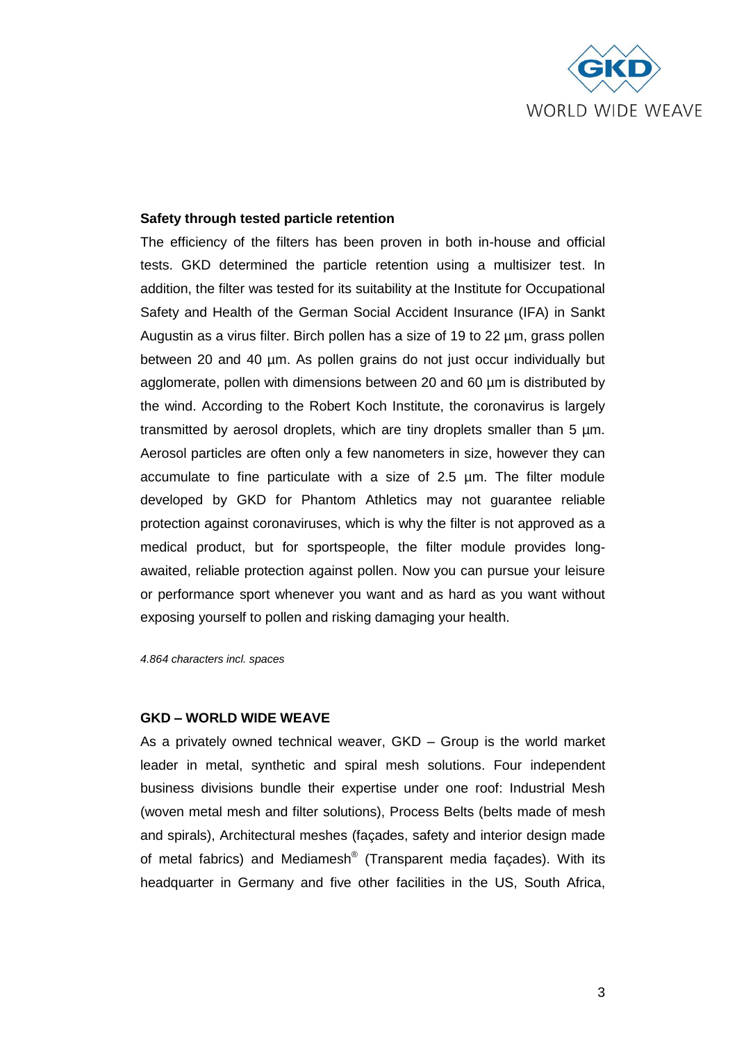

## **Safety through tested particle retention**

The efficiency of the filters has been proven in both in-house and official tests. GKD determined the particle retention using a multisizer test. In addition, the filter was tested for its suitability at the Institute for Occupational Safety and Health of the German Social Accident Insurance (IFA) in Sankt Augustin as a virus filter. Birch pollen has a size of 19 to 22 µm, grass pollen between 20 and 40 µm. As pollen grains do not just occur individually but agglomerate, pollen with dimensions between 20 and 60 µm is distributed by the wind. According to the Robert Koch Institute, the coronavirus is largely transmitted by aerosol droplets, which are tiny droplets smaller than 5 µm. Aerosol particles are often only a few nanometers in size, however they can accumulate to fine particulate with a size of 2.5 µm. The filter module developed by GKD for Phantom Athletics may not guarantee reliable protection against coronaviruses, which is why the filter is not approved as a medical product, but for sportspeople, the filter module provides longawaited, reliable protection against pollen. Now you can pursue your leisure or performance sport whenever you want and as hard as you want without exposing yourself to pollen and risking damaging your health.

*4.864 characters incl. spaces*

## **GKD – WORLD WIDE WEAVE**

As a privately owned technical weaver, GKD – Group is the world market leader in metal, synthetic and spiral mesh solutions. Four independent business divisions bundle their expertise under one roof: Industrial Mesh (woven metal mesh and filter solutions), Process Belts (belts made of mesh and spirals), Architectural meshes (façades, safety and interior design made of metal fabrics) and Mediamesh<sup>®</sup> (Transparent media façades). With its headquarter in Germany and five other facilities in the US, South Africa,